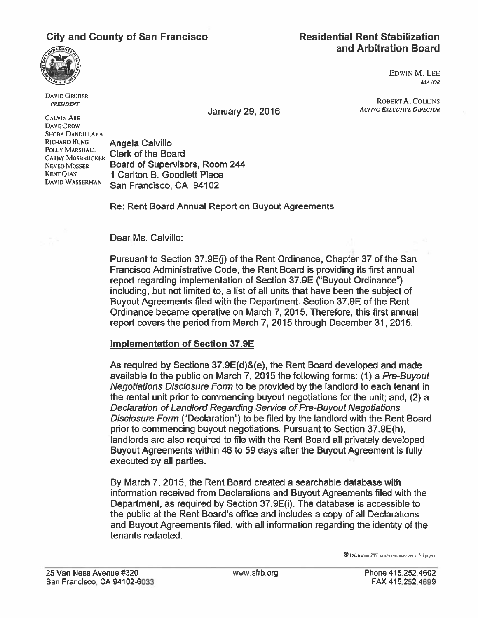## City and County of San Francisco Residential Rent Stabilization

# and Arbitration Board



DAVID GRUBER PRESIDENT

EDWIN M. LEE **MAYOR** 

ROBERT A. COLLINS

January 29, 2016 ACTING EXECUTIVE DIRECTOR CALVIN ABE

DAVE CROW SHOBA DANDILLAYA

RICHARD HUNG **Angela Calvillo**<br>POLLY MARSHALL **Clerk of the Boar** NEVEO MOSSER Board of Supervisors, Room 244 KENT QIAN 1 Carlton B. Goodlett Place San Francisco, CA 94102

Re: Rent Board Annual Report on Buyout Agreements

Dear Ms. Calvillo:

Pursuant to Section 37.9E(j) of the Rent Ordinance, Chapter 37 of the San Francisco Administrative Code, the Rent Board is providing its first annual repor<sup>t</sup> regarding implementation of Section 37.9E ("Buyout Ordinance") including, but not limited to, <sup>a</sup> list of all units that have been the subject of Buyout Agreements filed with the Department. Section 37.9E of the Rent Ordinance became operative on March 7, 2015. Therefore, this first annual repor<sup>t</sup> covers the period from March 7, 2015 through December 31, 2015.

## Implementation of Section 37.9E

As required by Sections 37.9E(d)&(e), the Rent Board developed and made available to the public on March 7, 2015 the following forms: (1) <sup>a</sup> Pre-Buyout Negotiations Disclosure Form to be provided by the landlord to each tenant in the rental unit prior to commencing buyout negotiations for the unit; and, (2) <sup>a</sup> Declaration of Landlord Regarding Service of Pre-Buyout Negotiations Disclosure Form ("Declaration") to be filed by the landlord with the Rent Board prior to commencing buyout negotiations. Pursuant to Section 37.9E(h), landlords are also required to file with the Rent Board all privately developed Buyout Agreements within 46 to 59 days after the Buyout Agreement is fully executed by all parties.

By March 7, 2015, the Rent Board created <sup>a</sup> searchable database with information received from Declarations and Buyout Agreements filed with the Department, as required by Section 37.9E(i). The database is accessible to the public at the Rent Board's office and includes <sup>a</sup> copy of all Declarations and Buyout Agreements filed, with all information regarding the identity of the tenants redacted.

**D** Printed on 30% post-consumer recycled paper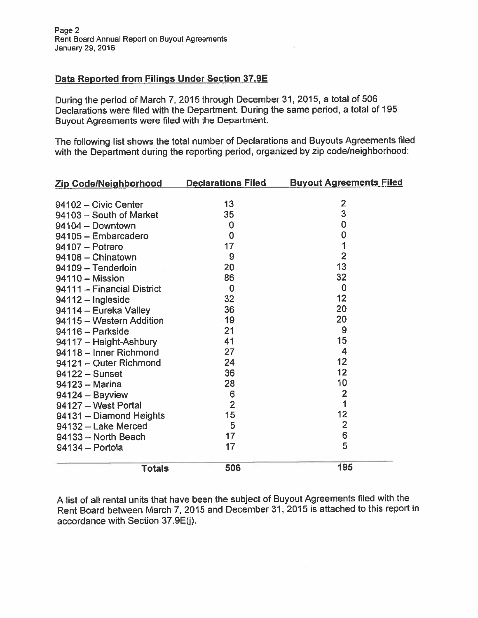#### Data Reported from Filings Under Section 37.9E

During the period of March 7, <sup>2015</sup> through December 31, 2015, <sup>a</sup> total of <sup>506</sup> Declarations were filed with the Department. During the same period, <sup>a</sup> total of 195 Buyout Agreements were filed with the Department.

The following list shows the total number of Declarations and Buyouts Agreements filed with the Department during the reporting period, organized by zip code/neighborhood:

| Zip Code/Neighborhood      | <b>Declarations Filed</b> | <b>Buyout Agreements Filed</b> |
|----------------------------|---------------------------|--------------------------------|
|                            |                           |                                |
| 94102 - Civic Center       | 13                        | $\overline{c}$                 |
| 94103 - South of Market    | 35                        | $\overline{3}$                 |
| 94104 - Downtown           | 0                         | $\mathbf 0$                    |
| 94105 - Embarcadero        | $\overline{0}$            | $\mathbf 0$                    |
| 94107 - Potrero            | 17                        | $\overline{\mathbf{1}}$        |
| 94108 - Chinatown          | 9                         | $\overline{2}$                 |
| 94109 - Tenderloin         | 20                        | 13                             |
| 94110 - Mission            | 86                        | 32                             |
| 94111 - Financial District | $\overline{0}$            | $\mathbf 0$                    |
| 94112 - Ingleside          | 32                        | 12                             |
| 94114 - Eureka Valley      | 36                        | 20                             |
| 94115 - Western Addition   | 19                        | 20                             |
| 94116 - Parkside           | 21                        | 9                              |
| 94117 - Haight-Ashbury     | 41                        | 15                             |
| 94118 - Inner Richmond     | 27                        | 4                              |
| 94121 - Outer Richmond     | 24                        | 12                             |
| 94122 - Sunset             | 36                        | 12                             |
| 94123 - Marina             | 28                        | 10                             |
| $94124 - Bayview$          | 6                         | $\overline{2}$                 |
| 94127 - West Portal        | $\overline{2}$            | 1                              |
| 94131 - Diamond Heights    | 15                        | 12                             |
| 94132 - Lake Merced        | 5                         | $\overline{2}$                 |
| 94133 - North Beach        | 17                        | 6                              |
| 94134 - Portola            | 17                        | 5                              |
| <b>Totals</b>              | 506                       | 195                            |

<sup>A</sup> list of all rental units that have been the subject of Buyout Agreements filed with the Rent Board between March 7,2015 and December 31, 2015 is attached to this repor<sup>t</sup> in accordance with Section 37.9E(j).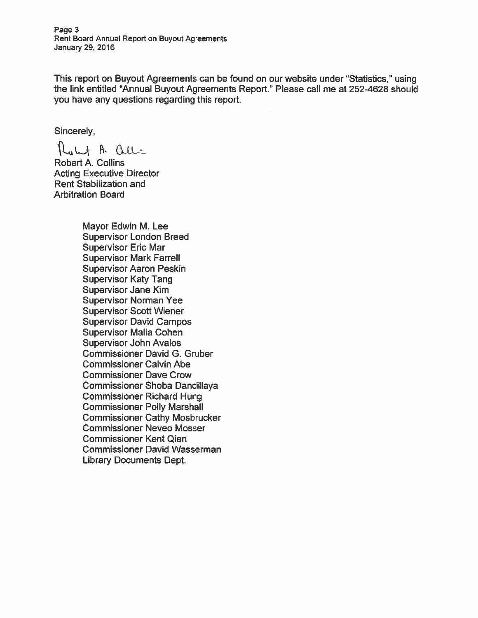Page 3 Rent Board Annual Report on Buyout Agreements January 29, 2016

This report on Buyout Agreements can be found on our website under "Statistics," using the link entitled "Annual Buyout Agreements Report." Please call me at 252-4628 should you have any questions regarding this report.

Sincerely,

Kult A. Celli

Robert A. Collins Acting Executive Director Rent Stabilization and Arbitration Board

> Mayor Edwin M. Lee Supervisor London Breed Supervisor Eric Mar Supervisor Mark Farrell Supervisor Aaron Peskin Supervisor Katy Tang Supervisor Jane Kim Supervisor Norman Yee Supervisor Scott Wiener Supervisor David Campos Supervisor Malia Cohen Supervisor John Avalos Commissioner David C. Gruber Commissioner Calvin Abe Commissioner Dave Crow Commissioner Shoba Dandillaya Commissioner Richard Hung Commissioner Polly Marshall Commissioner Cathy Mosbrucker Commissioner Neveo Mosser Commissioner Kent Qian Commissioner David Wasserman Library Documents Dept.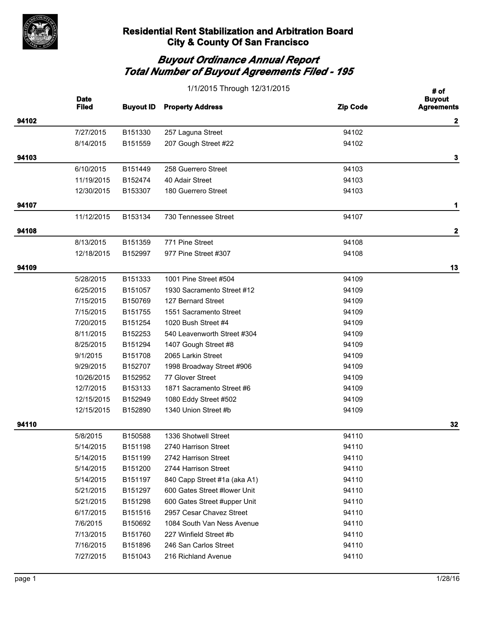

|       | 1/1/2015 Through 12/31/2015 |                  |                              |                 | # of                               |
|-------|-----------------------------|------------------|------------------------------|-----------------|------------------------------------|
|       | <b>Date</b><br><b>Filed</b> | <b>Buyout ID</b> | <b>Property Address</b>      | <b>Zip Code</b> | <b>Buyout</b><br><b>Agreements</b> |
| 94102 |                             |                  |                              |                 | 2                                  |
|       | 7/27/2015                   | B151330          | 257 Laguna Street            | 94102           |                                    |
|       | 8/14/2015                   | B151559          | 207 Gough Street #22         | 94102           |                                    |
| 94103 |                             |                  |                              |                 | 3                                  |
|       | 6/10/2015                   | B151449          | 258 Guerrero Street          | 94103           |                                    |
|       | 11/19/2015                  | B152474          | 40 Adair Street              | 94103           |                                    |
|       | 12/30/2015                  | B153307          | 180 Guerrero Street          | 94103           |                                    |
| 94107 |                             |                  |                              |                 | 1                                  |
|       | 11/12/2015                  | B153134          | 730 Tennessee Street         | 94107           |                                    |
| 94108 |                             |                  |                              |                 | $\mathbf 2$                        |
|       | 8/13/2015                   | B151359          | 771 Pine Street              | 94108           |                                    |
|       | 12/18/2015                  | B152997          | 977 Pine Street #307         | 94108           |                                    |
| 94109 |                             |                  |                              |                 | 13                                 |
|       | 5/28/2015                   | B151333          | 1001 Pine Street #504        | 94109           |                                    |
|       | 6/25/2015                   | B151057          | 1930 Sacramento Street #12   | 94109           |                                    |
|       | 7/15/2015                   | B150769          | 127 Bernard Street           | 94109           |                                    |
|       | 7/15/2015                   | B151755          | 1551 Sacramento Street       | 94109           |                                    |
|       | 7/20/2015                   | B151254          | 1020 Bush Street #4          | 94109           |                                    |
|       | 8/11/2015                   | B152253          | 540 Leavenworth Street #304  | 94109           |                                    |
|       | 8/25/2015                   | B151294          | 1407 Gough Street #8         | 94109           |                                    |
|       | 9/1/2015                    | B151708          | 2065 Larkin Street           | 94109           |                                    |
|       | 9/29/2015                   | B152707          | 1998 Broadway Street #906    | 94109           |                                    |
|       | 10/26/2015                  | B152952          | 77 Glover Street             | 94109           |                                    |
|       | 12/7/2015                   | B153133          | 1871 Sacramento Street #6    | 94109           |                                    |
|       | 12/15/2015                  | B152949          | 1080 Eddy Street #502        | 94109           |                                    |
|       | 12/15/2015                  | B152890          | 1340 Union Street #b         | 94109           |                                    |
| 94110 |                             |                  |                              |                 | 32                                 |
|       | 5/8/2015                    | B150588          | 1336 Shotwell Street         | 94110           |                                    |
|       | 5/14/2015                   | B151198          | 2740 Harrison Street         | 94110           |                                    |
|       | 5/14/2015                   | B151199          | 2742 Harrison Street         | 94110           |                                    |
|       | 5/14/2015                   | B151200          | 2744 Harrison Street         | 94110           |                                    |
|       | 5/14/2015                   | B151197          | 840 Capp Street #1a (aka A1) | 94110           |                                    |
|       | 5/21/2015                   | B151297          | 600 Gates Street #lower Unit | 94110           |                                    |
|       | 5/21/2015                   | B151298          | 600 Gates Street #upper Unit | 94110           |                                    |
|       | 6/17/2015                   | B151516          | 2957 Cesar Chavez Street     | 94110           |                                    |
|       | 7/6/2015                    | B150692          | 1084 South Van Ness Avenue   | 94110           |                                    |
|       | 7/13/2015                   | B151760          | 227 Winfield Street #b       | 94110           |                                    |
|       | 7/16/2015                   | B151896          | 246 San Carlos Street        | 94110           |                                    |
|       | 7/27/2015                   | B151043          | 216 Richland Avenue          | 94110           |                                    |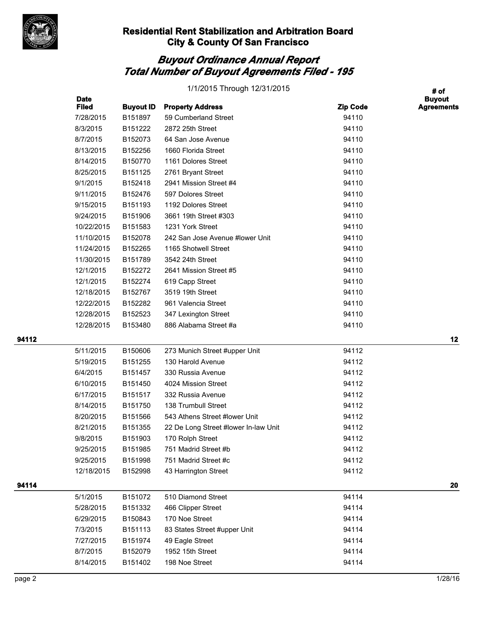

## *Buyout Ordinance Annual Report Total Number of Buyout Agreements Filed - 195*

|       |                             |                     | 1/1/2015 Through 12/31/2015          |                 | # of                               |
|-------|-----------------------------|---------------------|--------------------------------------|-----------------|------------------------------------|
|       | <b>Date</b><br><b>Filed</b> | <b>Buyout ID</b>    | <b>Property Address</b>              | <b>Zip Code</b> | <b>Buyout</b><br><b>Agreements</b> |
|       | 7/28/2015                   | B151897             | 59 Cumberland Street                 | 94110           |                                    |
|       | 8/3/2015                    | B151222             | 2872 25th Street                     | 94110           |                                    |
|       | 8/7/2015                    | B152073             | 64 San Jose Avenue                   | 94110           |                                    |
|       | 8/13/2015                   | B152256             | 1660 Florida Street                  | 94110           |                                    |
|       | 8/14/2015                   | B150770             | 1161 Dolores Street                  | 94110           |                                    |
|       | 8/25/2015                   | B151125             | 2761 Bryant Street                   | 94110           |                                    |
|       | 9/1/2015                    | B152418             | 2941 Mission Street #4               | 94110           |                                    |
|       | 9/11/2015                   | B152476             | 597 Dolores Street                   | 94110           |                                    |
|       | 9/15/2015                   | B151193             | 1192 Dolores Street                  | 94110           |                                    |
|       | 9/24/2015                   | B151906             | 3661 19th Street #303                | 94110           |                                    |
|       | 10/22/2015                  | B151583             | 1231 York Street                     | 94110           |                                    |
|       | 11/10/2015                  | B152078             | 242 San Jose Avenue #lower Unit      | 94110           |                                    |
|       | 11/24/2015                  | B152265             | 1165 Shotwell Street                 | 94110           |                                    |
|       | 11/30/2015                  | B151789             | 3542 24th Street                     | 94110           |                                    |
|       | 12/1/2015                   | B152272             | 2641 Mission Street #5               | 94110           |                                    |
|       | 12/1/2015                   | B152274             | 619 Capp Street                      | 94110           |                                    |
|       | 12/18/2015                  | B152767             | 3519 19th Street                     | 94110           |                                    |
|       | 12/22/2015                  | B152282             | 961 Valencia Street                  | 94110           |                                    |
|       | 12/28/2015                  | B152523             | 347 Lexington Street                 | 94110           |                                    |
|       | 12/28/2015                  | B153480             | 886 Alabama Street #a                | 94110           |                                    |
| 94112 |                             |                     |                                      |                 | 12                                 |
|       | 5/11/2015                   | B150606             | 273 Munich Street #upper Unit        | 94112           |                                    |
|       | 5/19/2015                   | B <sub>151255</sub> | 130 Harold Avenue                    | 94112           |                                    |
|       | 6/4/2015                    | B151457             | 330 Russia Avenue                    | 94112           |                                    |
|       | 6/10/2015                   | B151450             | 4024 Mission Street                  | 94112           |                                    |
|       | 6/17/2015                   | B151517             | 332 Russia Avenue                    | 94112           |                                    |
|       | 8/14/2015                   | B151750             | 138 Trumbull Street                  | 94112           |                                    |
|       | 8/20/2015                   | B151566             | 543 Athens Street #lower Unit        | 94112           |                                    |
|       | 8/21/2015                   | B151355             | 22 De Long Street #lower In-law Unit | 94112           |                                    |
|       | 9/8/2015                    | B151903             | 170 Rolph Street                     | 94112           |                                    |

9/25/2015 B151985 751 Madrid Street #b 94112 9/25/2015 B151998 751 Madrid Street #c 94112 12/18/2015 B152998 43 Harrington Street 94112

5/1/2015 B151072 510 Diamond Street 94114 5/28/2015 B151332 466 Clipper Street 94114 6/29/2015 B150843 170 Noe Street 94114 7/3/2015 B151113 83 States Street #upper Unit 94114 7/27/2015 B151974 49 Eagle Street 94114 8/7/2015 B152079 1952 15th Street 94114 8/14/2015 B151402 198 Noe Street 94114

**94114 20**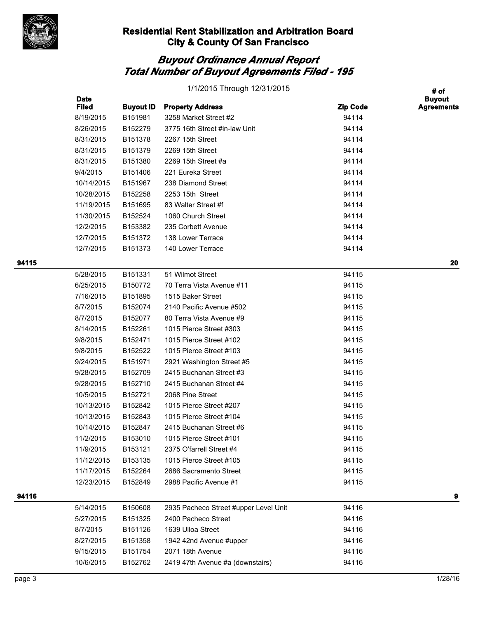

|       | 1/1/2015 Through 12/31/2015 |                  |                                       |                 |                                            |
|-------|-----------------------------|------------------|---------------------------------------|-----------------|--------------------------------------------|
|       | <b>Date</b><br><b>Filed</b> | <b>Buyout ID</b> | <b>Property Address</b>               | <b>Zip Code</b> | # of<br><b>Buyout</b><br><b>Agreements</b> |
|       | 8/19/2015                   | B151981          | 3258 Market Street #2                 | 94114           |                                            |
|       | 8/26/2015                   | B152279          | 3775 16th Street #in-law Unit         | 94114           |                                            |
|       | 8/31/2015                   | B151378          | 2267 15th Street                      | 94114           |                                            |
|       | 8/31/2015                   | B151379          | 2269 15th Street                      | 94114           |                                            |
|       | 8/31/2015                   | B151380          | 2269 15th Street #a                   | 94114           |                                            |
|       | 9/4/2015                    | B151406          | 221 Eureka Street                     | 94114           |                                            |
|       | 10/14/2015                  | B151967          | 238 Diamond Street                    | 94114           |                                            |
|       | 10/28/2015                  | B152258          | 2253 15th Street                      | 94114           |                                            |
|       | 11/19/2015                  | B151695          | 83 Walter Street #f                   | 94114           |                                            |
|       | 11/30/2015                  | B152524          | 1060 Church Street                    | 94114           |                                            |
|       | 12/2/2015                   | B153382          | 235 Corbett Avenue                    | 94114           |                                            |
|       | 12/7/2015                   | B151372          | 138 Lower Terrace                     | 94114           |                                            |
|       | 12/7/2015                   | B151373          | 140 Lower Terrace                     | 94114           |                                            |
| 94115 |                             |                  |                                       |                 | 20                                         |
|       | 5/28/2015                   | B151331          | 51 Wilmot Street                      | 94115           |                                            |
|       | 6/25/2015                   | B150772          | 70 Terra Vista Avenue #11             | 94115           |                                            |
|       | 7/16/2015                   | B151895          | 1515 Baker Street                     | 94115           |                                            |
|       | 8/7/2015                    | B152074          | 2140 Pacific Avenue #502              | 94115           |                                            |
|       | 8/7/2015                    | B152077          | 80 Terra Vista Avenue #9              | 94115           |                                            |
|       | 8/14/2015                   | B152261          | 1015 Pierce Street #303               | 94115           |                                            |
|       | 9/8/2015                    | B152471          | 1015 Pierce Street #102               | 94115           |                                            |
|       | 9/8/2015                    | B152522          | 1015 Pierce Street #103               | 94115           |                                            |
|       | 9/24/2015                   | B151971          | 2921 Washington Street #5             | 94115           |                                            |
|       | 9/28/2015                   | B152709          | 2415 Buchanan Street #3               | 94115           |                                            |
|       | 9/28/2015                   | B152710          | 2415 Buchanan Street #4               | 94115           |                                            |
|       | 10/5/2015                   | B152721          | 2068 Pine Street                      | 94115           |                                            |
|       | 10/13/2015                  | B152842          | 1015 Pierce Street #207               | 94115           |                                            |
|       | 10/13/2015                  | B152843          | 1015 Pierce Street #104               | 94115           |                                            |
|       | 10/14/2015                  | B152847          | 2415 Buchanan Street #6               | 94115           |                                            |
|       | 11/2/2015                   | B153010          | 1015 Pierce Street #101               | 94115           |                                            |
|       | 11/9/2015                   | B153121          | 2375 O'farrell Street #4              | 94115           |                                            |
|       | 11/12/2015                  | B153135          | 1015 Pierce Street #105               | 94115           |                                            |
|       | 11/17/2015                  | B152264          | 2686 Sacramento Street                | 94115           |                                            |
|       | 12/23/2015                  | B152849          | 2988 Pacific Avenue #1                | 94115           |                                            |
| 94116 |                             |                  |                                       |                 | 9                                          |
|       | 5/14/2015                   | B150608          | 2935 Pacheco Street #upper Level Unit | 94116           |                                            |
|       | 5/27/2015                   | B151325          | 2400 Pacheco Street                   | 94116           |                                            |
|       | 8/7/2015                    | B151126          | 1639 Ulloa Street                     | 94116           |                                            |
|       | 8/27/2015                   | B151358          | 1942 42nd Avenue #upper               | 94116           |                                            |
|       | 9/15/2015                   | B151754          | 2071 18th Avenue                      | 94116           |                                            |
|       | 10/6/2015                   | B152762          | 2419 47th Avenue #a (downstairs)      | 94116           |                                            |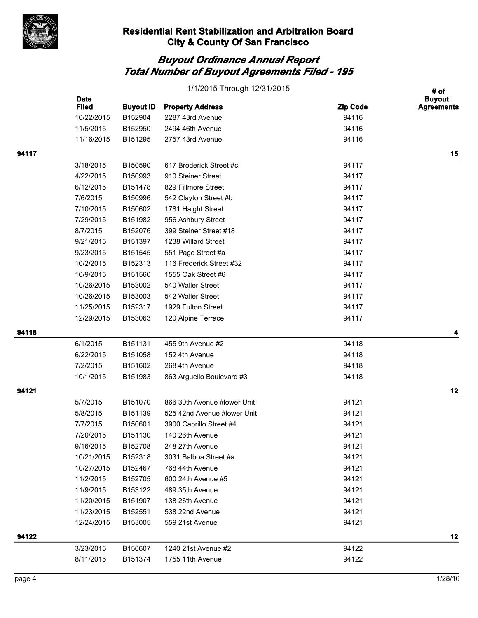

|       | <b>Date</b>  | # of<br><b>Buyout</b> |                             |                 |                   |
|-------|--------------|-----------------------|-----------------------------|-----------------|-------------------|
|       | <b>Filed</b> | <b>Buyout ID</b>      | <b>Property Address</b>     | <b>Zip Code</b> | <b>Agreements</b> |
|       | 10/22/2015   | B152904               | 2287 43rd Avenue            | 94116           |                   |
|       | 11/5/2015    | B152950               | 2494 46th Avenue            | 94116           |                   |
|       | 11/16/2015   | B151295               | 2757 43rd Avenue            | 94116           |                   |
| 94117 |              |                       |                             |                 | 15                |
|       | 3/18/2015    | B150590               | 617 Broderick Street #c     | 94117           |                   |
|       | 4/22/2015    | B150993               | 910 Steiner Street          | 94117           |                   |
|       | 6/12/2015    | B151478               | 829 Fillmore Street         | 94117           |                   |
|       | 7/6/2015     | B150996               | 542 Clayton Street #b       | 94117           |                   |
|       | 7/10/2015    | B150602               | 1781 Haight Street          | 94117           |                   |
|       | 7/29/2015    | B151982               | 956 Ashbury Street          | 94117           |                   |
|       | 8/7/2015     | B152076               | 399 Steiner Street #18      | 94117           |                   |
|       | 9/21/2015    | B151397               | 1238 Willard Street         | 94117           |                   |
|       | 9/23/2015    | B151545               | 551 Page Street #a          | 94117           |                   |
|       | 10/2/2015    | B152313               | 116 Frederick Street #32    | 94117           |                   |
|       | 10/9/2015    | B151560               | 1555 Oak Street #6          | 94117           |                   |
|       | 10/26/2015   | B153002               | 540 Waller Street           | 94117           |                   |
|       | 10/26/2015   | B153003               | 542 Waller Street           | 94117           |                   |
|       | 11/25/2015   | B152317               | 1929 Fulton Street          | 94117           |                   |
|       | 12/29/2015   | B153063               | 120 Alpine Terrace          | 94117           |                   |
| 94118 |              |                       |                             |                 | 4                 |
|       | 6/1/2015     | B151131               | 455 9th Avenue #2           | 94118           |                   |
|       | 6/22/2015    | B151058               | 152 4th Avenue              | 94118           |                   |
|       | 7/2/2015     | B151602               | 268 4th Avenue              | 94118           |                   |
|       | 10/1/2015    | B151983               | 863 Arguello Boulevard #3   | 94118           |                   |
| 94121 |              |                       |                             |                 | 12                |
|       | 5/7/2015     | B151070               | 866 30th Avenue #lower Unit | 94121           |                   |
|       | 5/8/2015     | B151139               | 525 42nd Avenue #lower Unit | 94121           |                   |
|       | 7/7/2015     | B150601               | 3900 Cabrillo Street #4     | 94121           |                   |
|       | 7/20/2015    | B151130               | 140 26th Avenue             | 94121           |                   |
|       | 9/16/2015    | B152708               | 248 27th Avenue             | 94121           |                   |
|       | 10/21/2015   | B152318               | 3031 Balboa Street #a       | 94121           |                   |
|       | 10/27/2015   | B152467               | 768 44th Avenue             | 94121           |                   |
|       | 11/2/2015    | B152705               | 600 24th Avenue #5          | 94121           |                   |
|       | 11/9/2015    | B153122               | 489 35th Avenue             | 94121           |                   |
|       | 11/20/2015   | B151907               | 138 26th Avenue             | 94121           |                   |
|       | 11/23/2015   | B152551               | 538 22nd Avenue             | 94121           |                   |
|       | 12/24/2015   | B153005               | 559 21st Avenue             | 94121           |                   |
| 94122 |              |                       |                             |                 | 12                |
|       | 3/23/2015    | B150607               | 1240 21st Avenue #2         | 94122           |                   |
|       | 8/11/2015    | B151374               | 1755 11th Avenue            | 94122           |                   |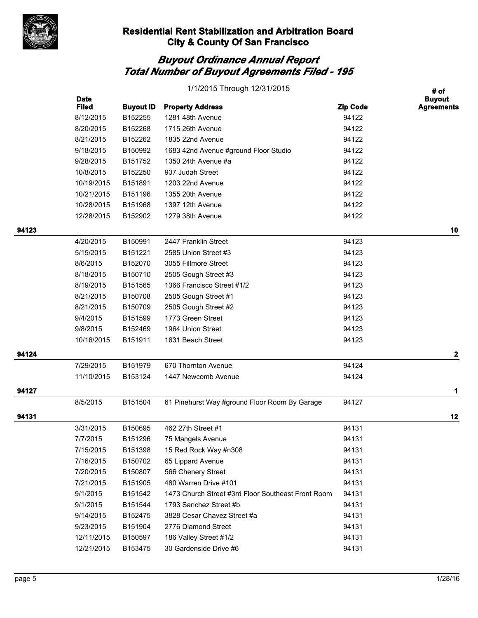

|       | 1/1/2015 Through 12/31/2015 |                  |                                                    |                 | # of                               |  |
|-------|-----------------------------|------------------|----------------------------------------------------|-----------------|------------------------------------|--|
|       | <b>Date</b><br><b>Filed</b> | <b>Buyout ID</b> | <b>Property Address</b>                            | <b>Zip Code</b> | <b>Buyout</b><br><b>Agreements</b> |  |
|       | 8/12/2015                   | B152255          | 1281 48th Avenue                                   | 94122           |                                    |  |
|       | 8/20/2015                   | B152268          | 1715 26th Avenue                                   | 94122           |                                    |  |
|       | 8/21/2015                   | B152262          | 1835 22nd Avenue                                   | 94122           |                                    |  |
|       | 9/18/2015                   | B150992          | 1683 42nd Avenue #ground Floor Studio              | 94122           |                                    |  |
|       | 9/28/2015                   | B151752          | 1350 24th Avenue #a                                | 94122           |                                    |  |
|       | 10/8/2015                   | B152250          | 937 Judah Street                                   | 94122           |                                    |  |
|       | 10/19/2015                  | B151891          | 1203 22nd Avenue                                   | 94122           |                                    |  |
|       | 10/21/2015                  | B151196          | 1355 20th Avenue                                   | 94122           |                                    |  |
|       | 10/28/2015                  | B151968          | 1397 12th Avenue                                   | 94122           |                                    |  |
|       | 12/28/2015                  | B152902          | 1279 38th Avenue                                   | 94122           |                                    |  |
| 94123 |                             |                  |                                                    |                 | 10                                 |  |
|       | 4/20/2015                   | B150991          | 2447 Franklin Street                               | 94123           |                                    |  |
|       | 5/15/2015                   | B151221          | 2585 Union Street #3                               | 94123           |                                    |  |
|       | 8/6/2015                    | B152070          | 3055 Fillmore Street                               | 94123           |                                    |  |
|       | 8/18/2015                   | B150710          | 2505 Gough Street #3                               | 94123           |                                    |  |
|       | 8/19/2015                   | B151565          | 1366 Francisco Street #1/2                         | 94123           |                                    |  |
|       | 8/21/2015                   | B150708          | 2505 Gough Street #1                               | 94123           |                                    |  |
|       | 8/21/2015                   | B150709          | 2505 Gough Street #2                               | 94123           |                                    |  |
|       | 9/4/2015                    | B151599          | 1773 Green Street                                  | 94123           |                                    |  |
|       | 9/8/2015                    | B152469          | 1964 Union Street                                  | 94123           |                                    |  |
|       | 10/16/2015                  | B151911          | 1631 Beach Street                                  | 94123           |                                    |  |
| 94124 |                             |                  |                                                    |                 | 2                                  |  |
|       | 7/29/2015                   | B151979          | 670 Thornton Avenue                                | 94124           |                                    |  |
|       | 11/10/2015                  | B153124          | 1447 Newcomb Avenue                                | 94124           |                                    |  |
| 94127 |                             |                  |                                                    |                 | 1                                  |  |
|       | 8/5/2015                    | B151504          | 61 Pinehurst Way #ground Floor Room By Garage      | 94127           |                                    |  |
| 94131 |                             |                  |                                                    |                 | 12                                 |  |
|       | 3/31/2015                   | B150695          | 462 27th Street #1                                 | 94131           |                                    |  |
|       | 7/7/2015                    | B151296          | 75 Mangels Avenue                                  | 94131           |                                    |  |
|       | 7/15/2015                   | B151398          | 15 Red Rock Way #n308                              | 94131           |                                    |  |
|       | 7/16/2015                   | B150702          | 65 Lippard Avenue                                  | 94131           |                                    |  |
|       | 7/20/2015                   | B150807          | 566 Chenery Street                                 | 94131           |                                    |  |
|       | 7/21/2015                   | B151905          | 480 Warren Drive #101                              | 94131           |                                    |  |
|       | 9/1/2015                    | B151542          | 1473 Church Street #3rd Floor Southeast Front Room | 94131           |                                    |  |
|       | 9/1/2015                    | B151544          | 1793 Sanchez Street #b                             | 94131           |                                    |  |
|       | 9/14/2015                   | B152475          | 3828 Cesar Chavez Street #a                        | 94131           |                                    |  |
|       | 9/23/2015                   | B151904          | 2776 Diamond Street                                | 94131           |                                    |  |
|       | 12/11/2015                  | B150597          | 186 Valley Street #1/2                             | 94131           |                                    |  |
|       | 12/21/2015                  | B153475          | 30 Gardenside Drive #6                             | 94131           |                                    |  |